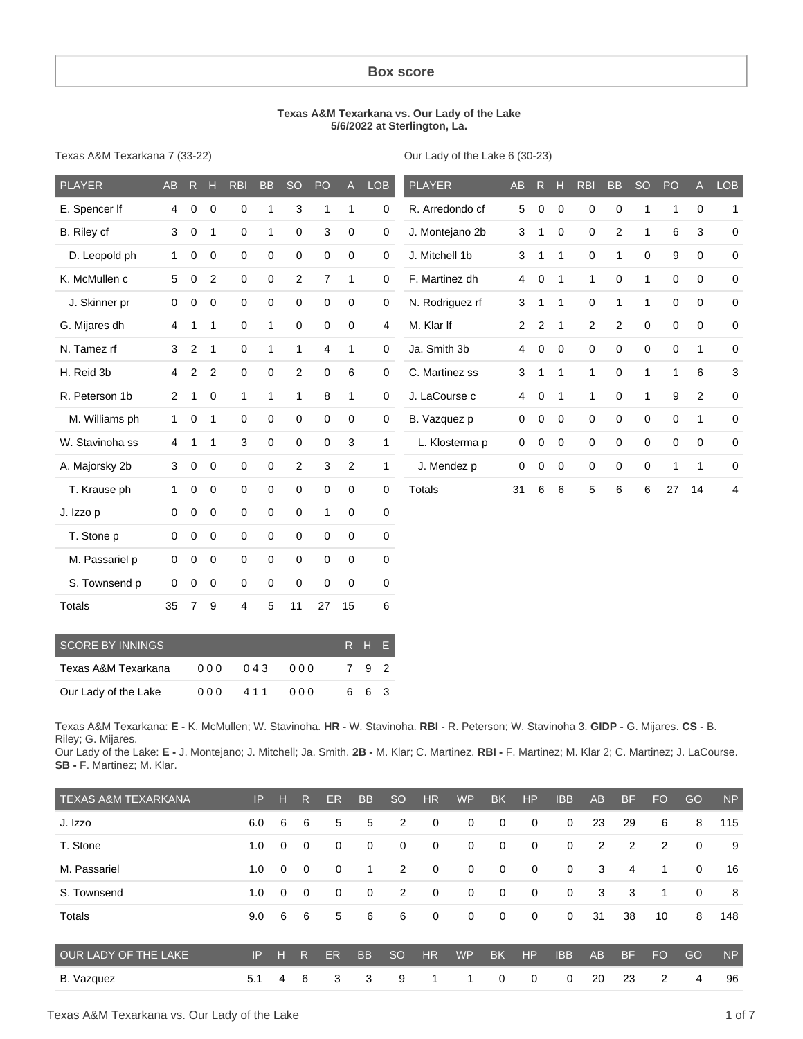#### **Box score**

#### **Texas A&M Texarkana vs. Our Lady of the Lake 5/6/2022 at Sterlington, La.**

Texas A&M Texarkana 7 (33-22)

Our Lady of the Lake 6 (30-23)

| <b>PLAYER</b>   | <b>AB</b>      | R              | н              | <b>RBI</b>   | <b>BB</b>    | <b>SO</b>    | PO             | $\mathsf{A}$ | <b>LOB</b>  | <b>PLAYER</b>   | AB             | $\mathsf{R}$ | H            | <b>RBI</b>   | <b>BB</b>      | <b>SO</b>   | <b>PO</b>   | $\overline{A}$ | <b>LOB</b>  |
|-----------------|----------------|----------------|----------------|--------------|--------------|--------------|----------------|--------------|-------------|-----------------|----------------|--------------|--------------|--------------|----------------|-------------|-------------|----------------|-------------|
| E. Spencer If   | 4              | $\mathbf 0$    | $\mathbf 0$    | $\mathbf 0$  | 1            | 3            | 1              | 1            | 0           | R. Arredondo cf | 5              | 0            | $\mathbf 0$  | 0            | $\mathbf 0$    | 1           | 1           | $\mathbf 0$    | 1           |
| B. Riley cf     | 3              | 0              | 1              | 0            | 1            | 0            | 3              | $\mathbf 0$  | $\mathbf 0$ | J. Montejano 2b | 3              | 1            | 0            | $\mathbf 0$  | $\overline{c}$ | 1           | 6           | 3              | $\mathbf 0$ |
| D. Leopold ph   | $\mathbf{1}$   | $\mathbf 0$    | $\mathbf 0$    | $\mathbf 0$  | $\mathbf 0$  | $\mathbf 0$  | 0              | $\mathbf 0$  | $\mathbf 0$ | J. Mitchell 1b  | 3              | 1            | 1            | 0            | $\mathbf 1$    | $\Omega$    | 9           | $\mathbf 0$    | $\mathbf 0$ |
| K. McMullen c   | 5              | 0              | 2              | $\mathbf 0$  | $\mathbf 0$  | 2            | $\overline{7}$ | $\mathbf{1}$ | $\mathbf 0$ | F. Martinez dh  | 4              | $\mathbf 0$  | 1            | 1            | 0              | 1           | $\mathbf 0$ | $\Omega$       | $\mathbf 0$ |
| J. Skinner pr   | 0              | 0              | $\mathbf 0$    | $\mathbf 0$  | 0            | $\mathbf 0$  | $\mathbf 0$    | $\mathbf 0$  | $\mathbf 0$ | N. Rodriguez rf | 3              | 1            | 1            | $\mathbf 0$  | $\mathbf 1$    | 1           | 0           | $\mathbf 0$    | $\mathbf 0$ |
| G. Mijares dh   | 4              | 1              | 1              | 0            | 1            | 0            | $\mathbf 0$    | $\mathbf 0$  | 4           | M. Klar If      | $\overline{2}$ | 2            | 1            | 2            | 2              | $\mathbf 0$ | 0           | 0              | $\mathbf 0$ |
| N. Tamez rf     | 3              | $\overline{2}$ | 1              | $\mathbf 0$  | $\mathbf{1}$ | $\mathbf{1}$ | 4              | $\mathbf{1}$ | $\mathbf 0$ | Ja. Smith 3b    | 4              | 0            | $\mathbf 0$  | $\mathbf 0$  | 0              | $\mathbf 0$ | 0           | 1              | $\mathbf 0$ |
| H. Reid 3b      | $\overline{4}$ | $\overline{2}$ | $\overline{2}$ | $\mathbf 0$  | 0            | 2            | $\mathbf 0$    | 6            | $\mathbf 0$ | C. Martinez ss  | 3              | 1            | 1            | $\mathbf{1}$ | $\mathbf 0$    | 1           | 1           | 6              | 3           |
| R. Peterson 1b  | $\overline{2}$ | $\mathbf{1}$   | $\mathbf 0$    | $\mathbf{1}$ | $\mathbf{1}$ | $\mathbf{1}$ | 8              | $\mathbf{1}$ | $\mathbf 0$ | J. LaCourse c   | 4              | 0            | $\mathbf{1}$ | $\mathbf{1}$ | $\mathbf 0$    | 1           | 9           | 2              | $\mathbf 0$ |
| M. Williams ph  | $\mathbf{1}$   | 0              | 1              | $\mathbf 0$  | $\mathbf 0$  | $\mathbf 0$  | $\mathbf 0$    | $\mathbf 0$  | $\mathbf 0$ | B. Vazquez p    | $\mathbf 0$    | 0            | $\mathbf 0$  | $\mathbf 0$  | 0              | $\mathbf 0$ | 0           | 1              | $\mathbf 0$ |
| W. Stavinoha ss | 4              | 1              | 1              | 3            | $\mathbf 0$  | $\mathbf 0$  | $\mathbf 0$    | 3            | 1           | L. Klosterma p  | 0              | $\mathbf 0$  | $\mathbf 0$  | $\mathbf 0$  | 0              | $\mathbf 0$ | $\mathbf 0$ | $\mathbf 0$    | $\mathbf 0$ |
| A. Majorsky 2b  | 3              | 0              | $\mathbf 0$    | $\mathsf 0$  | 0            | 2            | 3              | 2            | 1           | J. Mendez p     | $\Omega$       | 0            | $\mathbf 0$  | 0            | 0              | $\mathbf 0$ | 1           | 1              | $\mathbf 0$ |
| T. Krause ph    | 1              | 0              | $\overline{0}$ | $\mathsf 0$  | 0            | $\mathbf 0$  | $\mathbf 0$    | $\mathbf 0$  | $\mathbf 0$ | <b>Totals</b>   | 31             | 6            | 6            | 5            | 6              | 6           | 27          | 14             | 4           |
| J. Izzo p       | 0              | 0              | $\mathbf 0$    | $\mathbf 0$  | $\mathbf 0$  | $\mathbf 0$  | 1              | $\mathbf 0$  | $\mathbf 0$ |                 |                |              |              |              |                |             |             |                |             |
| T. Stone p      | $\mathbf 0$    | 0              | $\mathbf 0$    | $\mathbf 0$  | 0            | $\mathbf 0$  | $\mathbf 0$    | 0            | $\pmb{0}$   |                 |                |              |              |              |                |             |             |                |             |
| M. Passariel p  | $\mathbf 0$    | $\mathbf 0$    | $\overline{0}$ | 0            | $\mathbf 0$  | $\mathbf 0$  | $\mathbf 0$    | $\mathbf 0$  | $\mathbf 0$ |                 |                |              |              |              |                |             |             |                |             |
| S. Townsend p   | $\mathbf 0$    | $\mathbf 0$    | $\mathbf 0$    | $\mathbf 0$  | 0            | $\mathbf 0$  | $\mathbf 0$    | $\mathbf 0$  | $\mathbf 0$ |                 |                |              |              |              |                |             |             |                |             |

| SCORE BY INNINGS     |     |     |      | R H E |    |
|----------------------|-----|-----|------|-------|----|
| Texas A&M Texarkana  | 000 | 043 | 00 O | 79    | -2 |
| Our Lady of the Lake | 000 | 411 | 00 Q | 66    | -3 |

Totals 35 7 9 4 5 11 27 15 6

Texas A&M Texarkana: **E -** K. McMullen; W. Stavinoha. **HR -** W. Stavinoha. **RBI -** R. Peterson; W. Stavinoha 3. **GIDP -** G. Mijares. **CS -** B. Riley; G. Mijares.

Our Lady of the Lake: **E -** J. Montejano; J. Mitchell; Ja. Smith. **2B -** M. Klar; C. Martinez. **RBI -** F. Martinez; M. Klar 2; C. Martinez; J. LaCourse. **SB -** F. Martinez; M. Klar.

| TEXAS A&M TEXARKANA  | IP  | н            | R              | ER.            | <b>BB</b> | <b>SO</b>     | HR          | <b>WP</b>   | <b>BK</b>    | HP          | <b>IBB</b>   | AB | <b>BF</b> | <b>FO</b> | GO             | <b>NP</b> |
|----------------------|-----|--------------|----------------|----------------|-----------|---------------|-------------|-------------|--------------|-------------|--------------|----|-----------|-----------|----------------|-----------|
| J. Izzo              | 6.0 | 6            | 6              | 5              | 5         | 2             | 0           | $\mathbf 0$ | $\mathbf 0$  | 0           | 0            | 23 | 29        | 6         | 8              | 115       |
| T. Stone             | 1.0 | $\mathbf{0}$ | $\mathbf 0$    | $\mathbf{0}$   | 0         | $\mathbf{0}$  | $\mathbf 0$ | 0           | 0            | 0           | $\mathbf 0$  | 2  | 2         | 2         | $\overline{0}$ | 9         |
| M. Passariel         | 1.0 | $\mathbf{0}$ | $\mathbf 0$    | $\mathbf{0}$   | 1         | 2             | $\mathbf 0$ | $\mathbf 0$ | 0            | 0           | $\mathbf{0}$ | 3  | 4         | 1         | $\mathbf 0$    | 16        |
| S. Townsend          | 1.0 | $\mathbf{0}$ | $\overline{0}$ | $\overline{0}$ | 0         | 2             | $\mathbf 0$ | 0           | 0            | 0           | $\mathbf{0}$ | 3  | 3         | 1         | $\mathbf 0$    | -8        |
| Totals               | 9.0 | 6            | 6              | 5              | 6         | 6             | $\mathbf 0$ | $\mathbf 0$ | $\mathbf{0}$ | $\mathbf 0$ | $\mathbf{0}$ | 31 | 38        | 10        | 8              | 148       |
| OUR LADY OF THE LAKE | IP  | н            | R              | ER             | <b>BB</b> | <sub>SO</sub> | <b>HR</b>   | <b>WP</b>   | <b>BK</b>    | HP          | <b>IBB</b>   | AB | <b>BF</b> | <b>FO</b> | GO             | <b>NP</b> |
| B. Vazquez           | 5.1 | 4            | 6              | 3              | 3         | 9             |             | 1           | 0            | $\mathbf 0$ | $\Omega$     | 20 | 23        | 2         | 4              | 96        |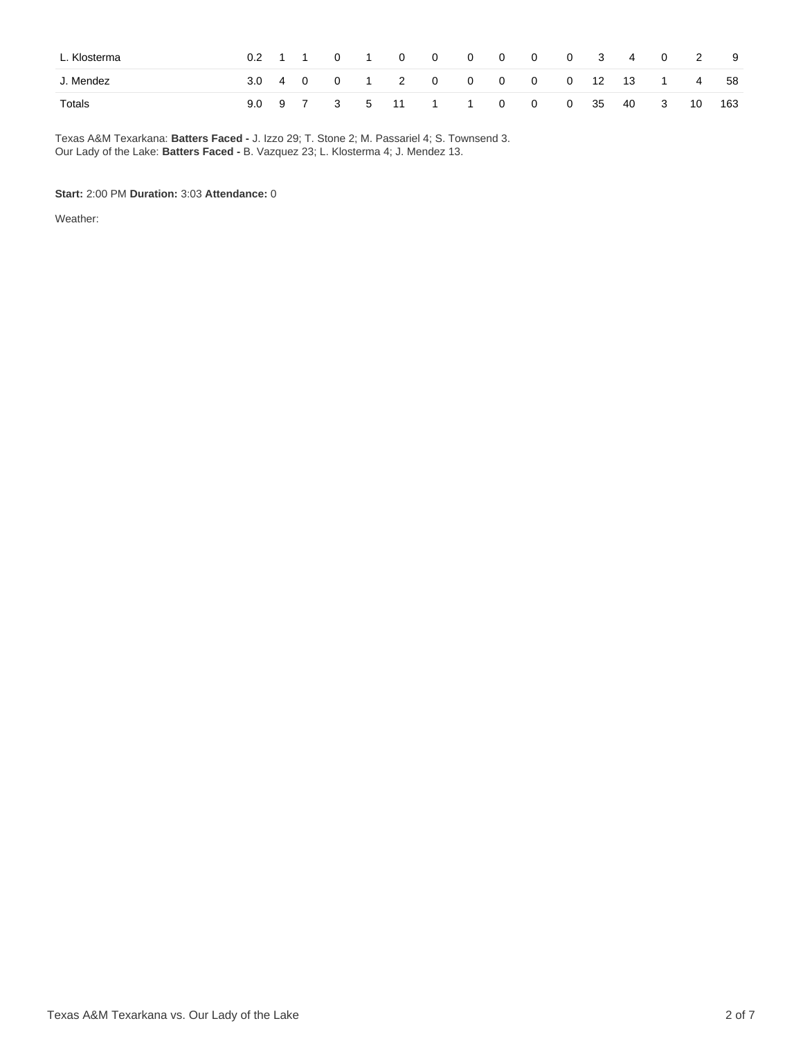| L. Klosterma | 0.2              |                |                | $\overline{0}$          | $\overline{1}$ | $\overline{0}$    | $\overline{0}$ | $\overline{0}$ | $\overline{\mathbf{0}}$ | $\overline{0}$ | $\overline{0}$ |           | $3 \quad 4$ | $\mathbf 0$ | 2  | - 9 |
|--------------|------------------|----------------|----------------|-------------------------|----------------|-------------------|----------------|----------------|-------------------------|----------------|----------------|-----------|-------------|-------------|----|-----|
| J. Mendez    | 3.0 <sub>1</sub> | $\overline{4}$ | $\overline{0}$ | $\overline{0}$          | $\overline{1}$ | $\overline{2}$    | $\overline{0}$ |                | $0\qquad 0\qquad 0$     |                |                | $0 \t 12$ | 13          |             | -4 | 58  |
| Totals       | 9.0              |                | $\degree$ 9 7  | $\overline{\mathbf{3}}$ |                | 5 11 1 1 0 0 0 35 |                |                |                         |                |                |           | 40          | 3           | 10 | 163 |

Texas A&M Texarkana: **Batters Faced -** J. Izzo 29; T. Stone 2; M. Passariel 4; S. Townsend 3. Our Lady of the Lake: **Batters Faced -** B. Vazquez 23; L. Klosterma 4; J. Mendez 13.

#### **Start:** 2:00 PM **Duration:** 3:03 **Attendance:** 0

Weather: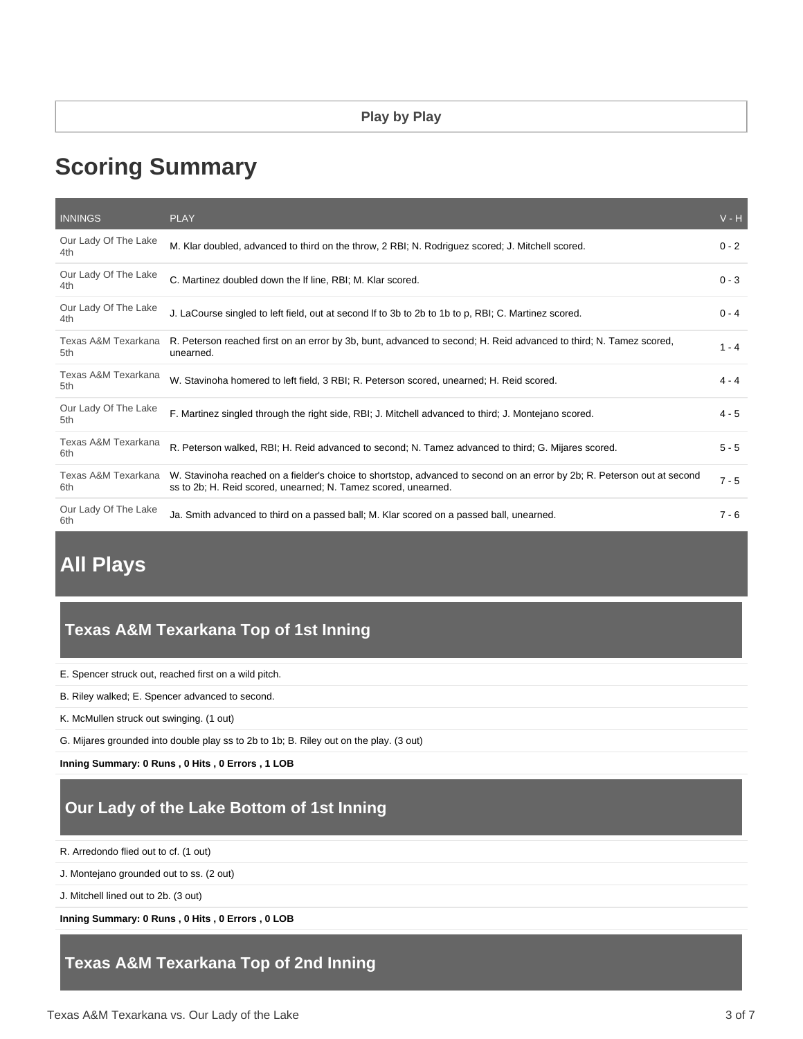# **Scoring Summary**

| <b>INNINGS</b>              | <b>PLAY</b>                                                                                                                                                                                | $V - H$ |
|-----------------------------|--------------------------------------------------------------------------------------------------------------------------------------------------------------------------------------------|---------|
| Our Lady Of The Lake<br>4th | M. Klar doubled, advanced to third on the throw, 2 RBI; N. Rodriguez scored; J. Mitchell scored.                                                                                           | $0 - 2$ |
| Our Lady Of The Lake<br>4th | C. Martinez doubled down the If line, RBI; M. Klar scored.                                                                                                                                 | $0 - 3$ |
| Our Lady Of The Lake<br>4th | J. LaCourse singled to left field, out at second If to 3b to 2b to 1b to p, RBI; C. Martinez scored.                                                                                       | $0 - 4$ |
| Texas A&M Texarkana<br>5th  | R. Peterson reached first on an error by 3b, bunt, advanced to second; H. Reid advanced to third; N. Tamez scored,<br>unearned.                                                            | $1 - 4$ |
| Texas A&M Texarkana<br>5th  | W. Stavinoha homered to left field, 3 RBI; R. Peterson scored, unearned; H. Reid scored.                                                                                                   | $4 - 4$ |
| Our Lady Of The Lake<br>5th | F. Martinez singled through the right side, RBI; J. Mitchell advanced to third; J. Montejano scored.                                                                                       | $4 - 5$ |
| Texas A&M Texarkana<br>6th  | R. Peterson walked, RBI; H. Reid advanced to second; N. Tamez advanced to third; G. Mijares scored.                                                                                        | $5 - 5$ |
| Texas A&M Texarkana<br>6th  | W. Stavinoha reached on a fielder's choice to shortstop, advanced to second on an error by 2b; R. Peterson out at second<br>ss to 2b; H. Reid scored, unearned; N. Tamez scored, unearned. | $7 - 5$ |
| Our Lady Of The Lake<br>6th | Ja. Smith advanced to third on a passed ball; M. Klar scored on a passed ball, unearned.                                                                                                   | $7 - 6$ |

# **All Plays**

# **Texas A&M Texarkana Top of 1st Inning**

E. Spencer struck out, reached first on a wild pitch.

B. Riley walked; E. Spencer advanced to second.

K. McMullen struck out swinging. (1 out)

G. Mijares grounded into double play ss to 2b to 1b; B. Riley out on the play. (3 out)

**Inning Summary: 0 Runs , 0 Hits , 0 Errors , 1 LOB**

# **Our Lady of the Lake Bottom of 1st Inning**

R. Arredondo flied out to cf. (1 out)

J. Montejano grounded out to ss. (2 out)

J. Mitchell lined out to 2b. (3 out)

**Inning Summary: 0 Runs , 0 Hits , 0 Errors , 0 LOB**

### **Texas A&M Texarkana Top of 2nd Inning**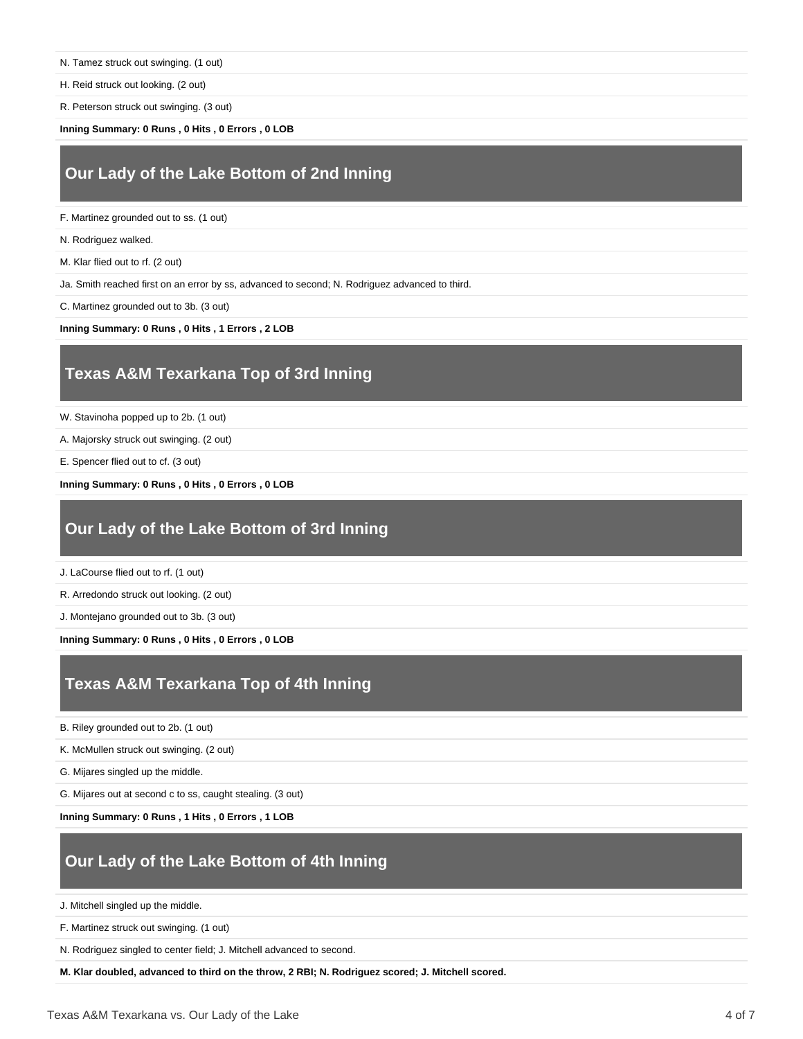N. Tamez struck out swinging. (1 out)

H. Reid struck out looking. (2 out)

R. Peterson struck out swinging. (3 out)

**Inning Summary: 0 Runs , 0 Hits , 0 Errors , 0 LOB**

# **Our Lady of the Lake Bottom of 2nd Inning**

F. Martinez grounded out to ss. (1 out)

N. Rodriguez walked.

M. Klar flied out to rf. (2 out)

Ja. Smith reached first on an error by ss, advanced to second; N. Rodriguez advanced to third.

C. Martinez grounded out to 3b. (3 out)

**Inning Summary: 0 Runs , 0 Hits , 1 Errors , 2 LOB**

### **Texas A&M Texarkana Top of 3rd Inning**

W. Stavinoha popped up to 2b. (1 out)

A. Majorsky struck out swinging. (2 out)

E. Spencer flied out to cf. (3 out)

**Inning Summary: 0 Runs , 0 Hits , 0 Errors , 0 LOB**

# **Our Lady of the Lake Bottom of 3rd Inning**

J. LaCourse flied out to rf. (1 out)

R. Arredondo struck out looking. (2 out)

J. Montejano grounded out to 3b. (3 out)

**Inning Summary: 0 Runs , 0 Hits , 0 Errors , 0 LOB**

# **Texas A&M Texarkana Top of 4th Inning**

B. Riley grounded out to 2b. (1 out)

K. McMullen struck out swinging. (2 out)

G. Mijares singled up the middle.

G. Mijares out at second c to ss, caught stealing. (3 out)

**Inning Summary: 0 Runs , 1 Hits , 0 Errors , 1 LOB**

### **Our Lady of the Lake Bottom of 4th Inning**

J. Mitchell singled up the middle.

F. Martinez struck out swinging. (1 out)

N. Rodriguez singled to center field; J. Mitchell advanced to second.

**M. Klar doubled, advanced to third on the throw, 2 RBI; N. Rodriguez scored; J. Mitchell scored.**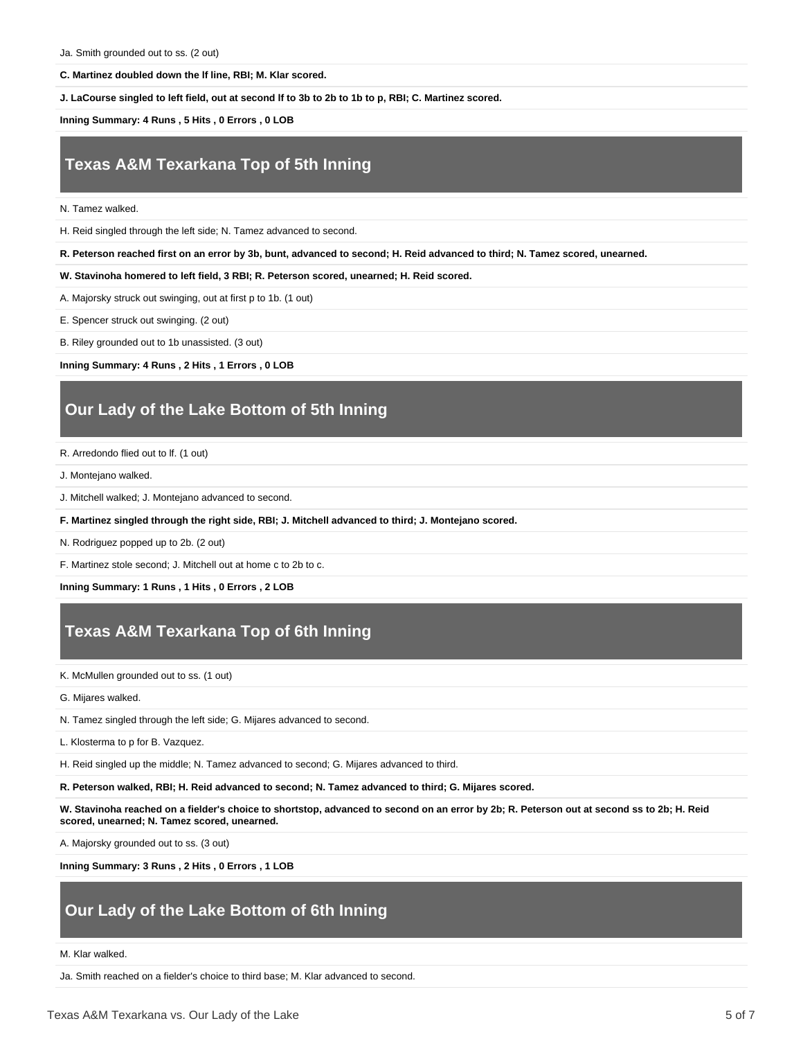#### **C. Martinez doubled down the lf line, RBI; M. Klar scored.**

**J. LaCourse singled to left field, out at second lf to 3b to 2b to 1b to p, RBI; C. Martinez scored.**

**Inning Summary: 4 Runs , 5 Hits , 0 Errors , 0 LOB**

# **Texas A&M Texarkana Top of 5th Inning**

N. Tamez walked.

H. Reid singled through the left side; N. Tamez advanced to second.

**R. Peterson reached first on an error by 3b, bunt, advanced to second; H. Reid advanced to third; N. Tamez scored, unearned.**

**W. Stavinoha homered to left field, 3 RBI; R. Peterson scored, unearned; H. Reid scored.**

A. Majorsky struck out swinging, out at first p to 1b. (1 out)

E. Spencer struck out swinging. (2 out)

B. Riley grounded out to 1b unassisted. (3 out)

**Inning Summary: 4 Runs , 2 Hits , 1 Errors , 0 LOB**

# **Our Lady of the Lake Bottom of 5th Inning**

R. Arredondo flied out to lf. (1 out)

J. Montejano walked.

J. Mitchell walked; J. Montejano advanced to second.

**F. Martinez singled through the right side, RBI; J. Mitchell advanced to third; J. Montejano scored.**

N. Rodriguez popped up to 2b. (2 out)

F. Martinez stole second; J. Mitchell out at home c to 2b to c.

**Inning Summary: 1 Runs , 1 Hits , 0 Errors , 2 LOB**

### **Texas A&M Texarkana Top of 6th Inning**

K. McMullen grounded out to ss. (1 out)

G. Mijares walked.

N. Tamez singled through the left side; G. Mijares advanced to second.

L. Klosterma to p for B. Vazquez.

H. Reid singled up the middle; N. Tamez advanced to second; G. Mijares advanced to third.

**R. Peterson walked, RBI; H. Reid advanced to second; N. Tamez advanced to third; G. Mijares scored.**

**W. Stavinoha reached on a fielder's choice to shortstop, advanced to second on an error by 2b; R. Peterson out at second ss to 2b; H. Reid scored, unearned; N. Tamez scored, unearned.**

A. Majorsky grounded out to ss. (3 out)

**Inning Summary: 3 Runs , 2 Hits , 0 Errors , 1 LOB**

### **Our Lady of the Lake Bottom of 6th Inning**

M. Klar walked.

Ja. Smith reached on a fielder's choice to third base; M. Klar advanced to second.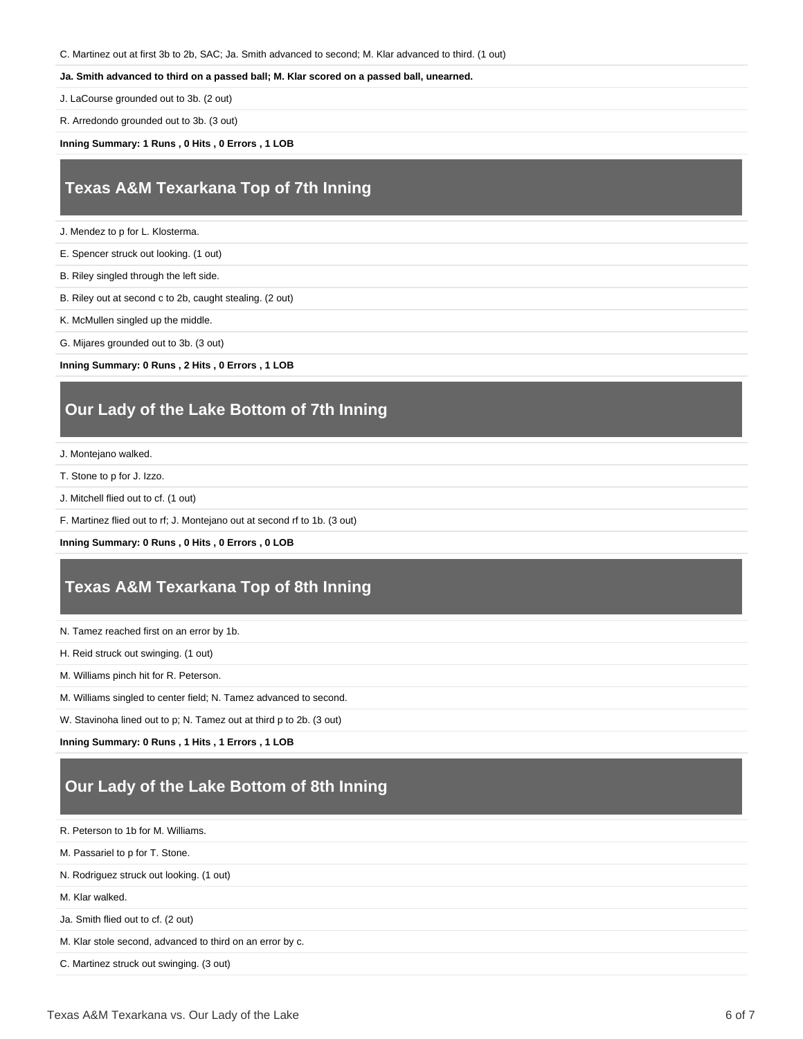C. Martinez out at first 3b to 2b, SAC; Ja. Smith advanced to second; M. Klar advanced to third. (1 out)

**Ja. Smith advanced to third on a passed ball; M. Klar scored on a passed ball, unearned.**

J. LaCourse grounded out to 3b. (2 out)

R. Arredondo grounded out to 3b. (3 out)

**Inning Summary: 1 Runs , 0 Hits , 0 Errors , 1 LOB**

### **Texas A&M Texarkana Top of 7th Inning**

J. Mendez to p for L. Klosterma.

E. Spencer struck out looking. (1 out)

B. Riley singled through the left side.

B. Riley out at second c to 2b, caught stealing. (2 out)

K. McMullen singled up the middle.

G. Mijares grounded out to 3b. (3 out)

**Inning Summary: 0 Runs , 2 Hits , 0 Errors , 1 LOB**

## **Our Lady of the Lake Bottom of 7th Inning**

J. Montejano walked.

T. Stone to p for J. Izzo.

J. Mitchell flied out to cf. (1 out)

F. Martinez flied out to rf; J. Montejano out at second rf to 1b. (3 out)

**Inning Summary: 0 Runs , 0 Hits , 0 Errors , 0 LOB**

### **Texas A&M Texarkana Top of 8th Inning**

N. Tamez reached first on an error by 1b.

H. Reid struck out swinging. (1 out)

M. Williams pinch hit for R. Peterson.

M. Williams singled to center field; N. Tamez advanced to second.

W. Stavinoha lined out to p; N. Tamez out at third p to 2b. (3 out)

**Inning Summary: 0 Runs , 1 Hits , 1 Errors , 1 LOB**

### **Our Lady of the Lake Bottom of 8th Inning**

R. Peterson to 1b for M. Williams.

M. Passariel to p for T. Stone.

N. Rodriguez struck out looking. (1 out)

M. Klar walked.

Ja. Smith flied out to cf. (2 out)

M. Klar stole second, advanced to third on an error by c.

C. Martinez struck out swinging. (3 out)